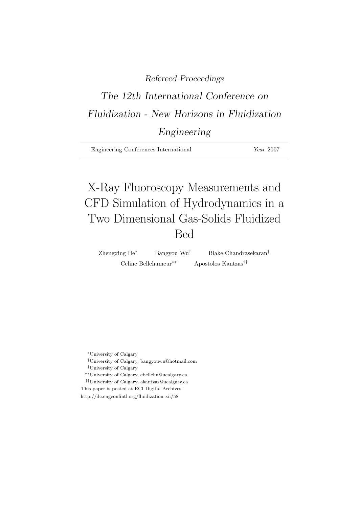### Refereed Proceedings

# The 12th International Conference on Fluidization - New Horizons in Fluidization

## Engineering

| <i>Year</i> 2007<br>Engineering Conferences International |
|-----------------------------------------------------------|
|-----------------------------------------------------------|

# X-Ray Fluoroscopy Measurements and CFD Simulation of Hydrodynamics in a Two Dimensional Gas-Solids Fluidized Bed

Zhengxing He<sup>∗</sup> Bangyou Wu† Blake Chandrasekaran‡ Celine Bellehumeur∗∗ Apostolos Kantzas††

<sup>∗</sup>University of Calgary

†University of Calgary, bangyouwu@hotmail.com

‡University of Calgary

∗∗University of Calgary, cbellehu@ucalgary.ca

 $^{\dagger\dagger}$ University of Calgary, akantzas@ucalgary.ca

This paper is posted at ECI Digital Archives. http://dc.engconfintl.org/fluidization xii/58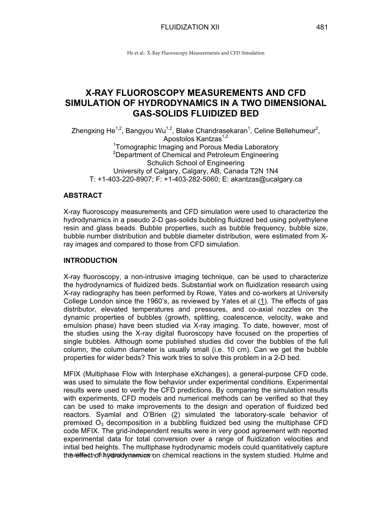### **X-RAY FLUOROSCOPY MEASUREMENTS AND CFD SIMULATION OF HYDRODYNAMICS IN A TWO DIMENSIONAL GAS-SOLIDS FLUIDIZED BED**

Zhengxing He<sup>1,2</sup>, Bangyou Wu<sup>1,2</sup>, Blake Chandrasekaran<sup>1</sup>, Celine Bellehumeur<sup>2</sup>, Apostolos Kantzas<sup>1,2</sup> <sup>1</sup>Tomographic Imaging and Porous Media Laboratory <sup>2</sup>Department of Chemical and Petroleum Engineering Schulich School of Engineering University of Calgary, Calgary, AB, Canada T2N 1N4 T: +1-403-220-8907; F: +1-403-282-5060; E: akantzas@ucalgary.ca

#### **ABSTRACT**

X-ray fluoroscopy measurements and CFD simulation were used to characterize the hydrodynamics in a pseudo 2-D gas-solids bubbling fluidized bed using polyethylene resin and glass beads. Bubble properties, such as bubble frequency, bubble size, bubble number distribution and bubble diameter distribution, were estimated from Xray images and compared to those from CFD simulation.

#### **INTRODUCTION**

X-ray fluoroscopy, a non-intrusive imaging technique, can be used to characterize the hydrodynamics of fluidized beds. Substantial work on fluidization research using X-ray radiography has been performed by Rowe, Yates and co-workers at University College London since the 1960's, as reviewed by Yates et al (1). The effects of gas distributor, elevated temperatures and pressures, and co-axial nozzles on the dynamic properties of bubbles (growth, splitting, coalescence, velocity, wake and emulsion phase) have been studied via X-ray imaging. To date, however, most of the studies using the X-ray digital fluoroscopy have focused on the properties of single bubbles. Although some published studies did cover the bubbles of the full column, the column diameter is usually small (i.e. 10 cm). Can we get the bubble properties for wider beds? This work tries to solve this problem in a 2-D bed.

MFIX (Multiphase Flow with Interphase eXchanges), a general-purpose CFD code, was used to simulate the flow behavior under experimental conditions. Experimental results were used to verify the CFD predictions. By comparing the simulation results with experiments, CFD models and numerical methods can be verified so that they can be used to make improvements to the design and operation of fluidized bed reactors. Syamlal and O'Brien (2) simulated the laboratory-scale behavior of premixed  $O_3$  decomposition in a bubbling fluidized bed using the multiphase CFD code MFIX. The grid-independent results were in very good agreement with reported experimental data for total conversion over a range of fluidization velocities and initial bed heights. The multiphase hydrodynamic models could quantitatively capture the leffect of thy drody riamics on chemical reactions in the system studied. Hulme and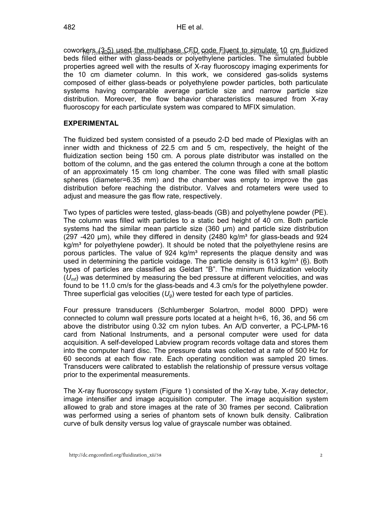coworkers (3-5) used the multiphase CFD code Fluent to simulate, 10 cm flyidized beds filled either with glass-beads or polyethylene particles. The simulated bubble properties agreed well with the results of X-ray fluoroscopy imaging experiments for the 10 cm diameter column. In this work, we considered gas-solids systems composed of either glass-beads or polyethylene powder particles, both particulate systems having comparable average particle size and narrow particle size distribution. Moreover, the flow behavior characteristics measured from X-ray fluoroscopy for each particulate system was compared to MFIX simulation.

#### **EXPERIMENTAL**

The fluidized bed system consisted of a pseudo 2-D bed made of Plexiglas with an inner width and thickness of 22.5 cm and 5 cm, respectively, the height of the fluidization section being 150 cm. A porous plate distributor was installed on the bottom of the column, and the gas entered the column through a cone at the bottom of an approximately 15 cm long chamber. The cone was filled with small plastic spheres (diameter=6.35 mm) and the chamber was empty to improve the gas distribution before reaching the distributor. Valves and rotameters were used to adjust and measure the gas flow rate, respectively.

Two types of particles were tested, glass-beads (GB) and polyethylene powder (PE). The column was filled with particles to a static bed height of 40 cm. Both particle systems had the similar mean particle size (360 µm) and particle size distribution (297 -420  $\mu$ m), while they differed in density (2480 kg/m<sup>3</sup> for glass-beads and 924  $kq/m<sup>3</sup>$  for polyethylene powder). It should be noted that the polyethylene resins are porous particles. The value of 924 kg/m<sup>3</sup> represents the plaque density and was used in determining the particle voidage. The particle density is 613 kg/m<sup>3</sup> (6). Both types of particles are classified as Geldart "B". The minimum fluidization velocity (*Umf*) was determined by measuring the bed pressure at different velocities, and was found to be 11.0 cm/s for the glass-beads and 4.3 cm/s for the polyethylene powder. Three superficial gas velocities  $(U_q)$  were tested for each type of particles.

Four pressure transducers (Schlumberger Solartron, model 8000 DPD) were connected to column wall pressure ports located at a height h=6, 16, 36, and 56 cm above the distributor using 0.32 cm nylon tubes. An A/D converter, a PC-LPM-16 card from National Instruments, and a personal computer were used for data acquisition. A self-developed Labview program records voltage data and stores them into the computer hard disc. The pressure data was collected at a rate of 500 Hz for 60 seconds at each flow rate. Each operating condition was sampled 20 times. Transducers were calibrated to establish the relationship of pressure versus voltage prior to the experimental measurements.

The X-ray fluoroscopy system (Figure 1) consisted of the X-ray tube, X-ray detector, image intensifier and image acquisition computer. The image acquisition system allowed to grab and store images at the rate of 30 frames per second. Calibration was performed using a series of phantom sets of known bulk density. Calibration curve of bulk density versus log value of grayscale number was obtained.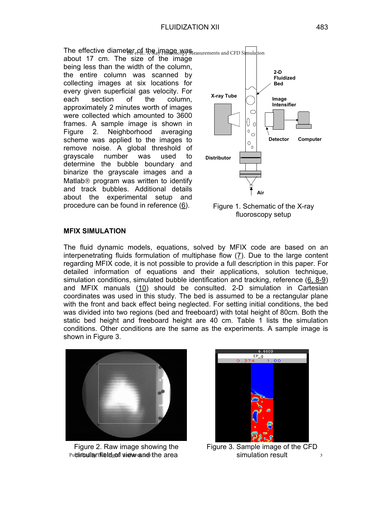The effective diameter  $_{\rm e}$  of the image was  $_{\rm{Feasurements}}$  and CFD Simulation

about 17 cm. The size of the image being less than the width of the column, the entire column was scanned by collecting images at six locations for every given superficial gas velocity. For each section of the column, approximately 2 minutes worth of images were collected which amounted to 3600 frames. A sample image is shown in Figure 2. Neighborhood averaging scheme was applied to the images to remove noise. A global threshold of grayscale number was used to determine the bubble boundary and binarize the grayscale images and a Matlab<sup>®</sup> program was written to identify and track bubbles. Additional details about the experimental setup and procedure can be found in reference (6).



Figure 1. Schematic of the X-ray fluoroscopy setup

#### **MFIX SIMULATION**

The fluid dynamic models, equations, solved by MFIX code are based on an interpenetrating fluids formulation of multiphase flow (7). Due to the large content regarding MFIX code, it is not possible to provide a full description in this paper. For detailed information of equations and their applications, solution technique, simulation conditions, simulated bubble identification and tracking, reference (6, 8-9) and MFIX manuals (10) should be consulted. 2-D simulation in Cartesian coordinates was used in this study. The bed is assumed to be a rectangular plane with the front and back effect being neglected. For setting initial conditions, the bed was divided into two regions (bed and freeboard) with total height of 80cm. Both the static bed height and freeboard height are 40 cm. Table 1 lists the simulation conditions. Other conditions are the same as the experiments. A sample image is shown in Figure 3.



Figure 2. Raw image showing the Published by Fireld good wie wean ook the area



Figure 3. Sample image of the CFD simulation result 3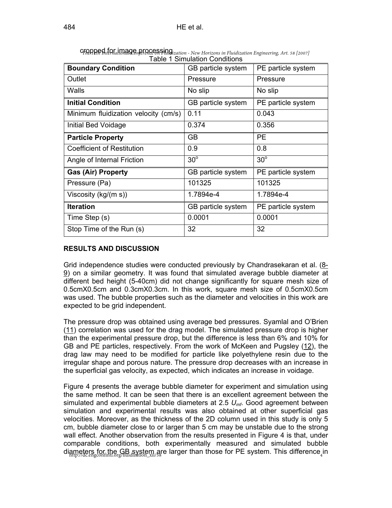| <b>Boundary Condition</b>            | GB particle system | PE particle system |
|--------------------------------------|--------------------|--------------------|
| Outlet                               | Pressure           | Pressure           |
| Walls                                | No slip            | No slip            |
| <b>Initial Condition</b>             | GB particle system | PE particle system |
| Minimum fluidization velocity (cm/s) | 0.11               | 0.043              |
| Initial Bed Voidage                  | 0.374              | 0.356              |
| <b>Particle Property</b>             | GB                 | <b>PE</b>          |
| <b>Coefficient of Restitution</b>    | 0.9                | 0.8                |
| Angle of Internal Friction           | $30^\circ$         | $30^\circ$         |
| <b>Gas (Air) Property</b>            | GB particle system | PE particle system |
| Pressure (Pa)                        | 101325             | 101325             |
| Viscosity ( $kg/(m s)$ )             | 1.7894e-4          | 1.7894e-4          |
| <b>Iteration</b>                     | GB particle system | PE particle system |
| Time Step (s)                        | 0.0001             | 0.0001             |
| Stop Time of the Run (s)             | 32                 | 32                 |

cropped for image processing Table 1 Simulation Conditions *The 12th International Conference on Fluidization - New Horizons in Fluidization Engineering, Art. 58 [2007]*

#### **RESULTS AND DISCUSSION**

Grid independence studies were conducted previously by Chandrasekaran et al. (8-9) on a similar geometry. It was found that simulated average bubble diameter at different bed height (5-40cm) did not change significantly for square mesh size of 0.5cmX0.5cm and 0.3cmX0.3cm. In this work, square mesh size of 0.5cmX0.5cm was used. The bubble properties such as the diameter and velocities in this work are expected to be grid independent.

The pressure drop was obtained using average bed pressures. Syamlal and O'Brien (11) correlation was used for the drag model. The simulated pressure drop is higher than the experimental pressure drop, but the difference is less than 6% and 10% for GB and PE particles, respectively. From the work of McKeen and Pugsley (12), the drag law may need to be modified for particle like polyethylene resin due to the irregular shape and porous nature. The pressure drop decreases with an increase in the superficial gas velocity, as expected, which indicates an increase in voidage.

Figure 4 presents the average bubble diameter for experiment and simulation using the same method. It can be seen that there is an excellent agreement between the simulated and experimental bubble diameters at 2.5 *Umf*. Good agreement between simulation and experimental results was also obtained at other superficial gas velocities. Moreover, as the thickness of the 2D column used in this study is only 5 cm, bubble diameter close to or larger than 5 cm may be unstable due to the strong wall effect. Another observation from the results presented in Figure 4 is that, under comparable conditions, both experimentally measured and simulated bubble diameters for the GB system are larger than those for PE system. This difference in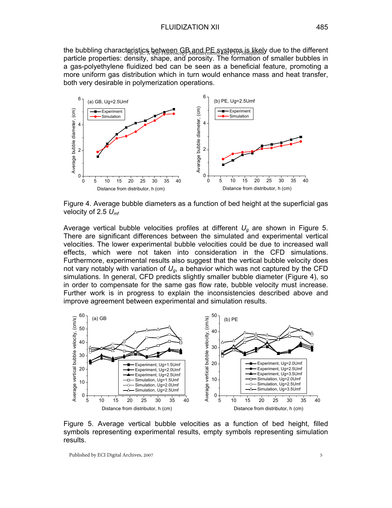the bubbling characteristics between GB and PE systems is likely due to the different particle properties: density, shape, and porosity. The formation of smaller bubbles in a gas-polyethylene fluidized bed can be seen as a beneficial feature, promoting a more uniform gas distribution which in turn would enhance mass and heat transfer, both very desirable in polymerization operations.



Figure 4. Average bubble diameters as a function of bed height at the superficial gas velocity of 2.5 *Umf*

Average vertical bubble velocities profiles at different *Ug* are shown in Figure 5. There are significant differences between the simulated and experimental vertical velocities. The lower experimental bubble velocities could be due to increased wall effects, which were not taken into consideration in the CFD simulations. Furthermore, experimental results also suggest that the vertical bubble velocity does not vary notably with variation of  $U_q$ , a behavior which was not captured by the CFD simulations. In general, CFD predicts slightly smaller bubble diameter (Figure 4), so in order to compensate for the same gas flow rate, bubble velocity must increase. Further work is in progress to explain the inconsistencies described above and improve agreement between experimental and simulation results.



Figure 5. Average vertical bubble velocities as a function of bed height, filled symbols representing experimental results, empty symbols representing simulation results.

Published by ECI Digital Archives, 2007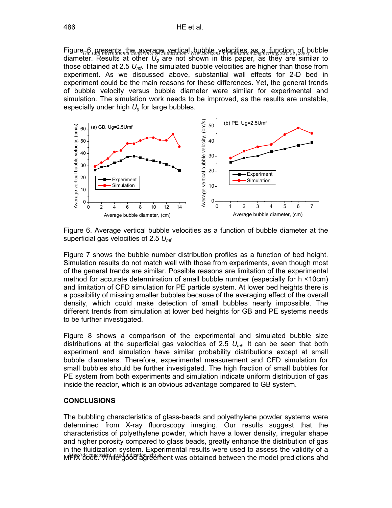Figure<sub>*The 1</sub> presents the average wertical bubble velocities as a function of bubble</sub>* diameter. Results at other *Ug* are not shown in this paper, as they are similar to those obtained at 2.5 *Umf*. The simulated bubble velocities are higher than those from experiment. As we discussed above, substantial wall effects for 2-D bed in experiment could be the main reasons for these differences. Yet, the general trends of bubble velocity versus bubble diameter were similar for experimental and simulation. The simulation work needs to be improved, as the results are unstable, especially under high *Ug* for large bubbles.



Figure 6. Average vertical bubble velocities as a function of bubble diameter at the superficial gas velocities of 2.5 *Umf*

Figure 7 shows the bubble number distribution profiles as a function of bed height. Simulation results do not match well with those from experiments, even though most of the general trends are similar. Possible reasons are limitation of the experimental method for accurate determination of small bubble number (especially for h <10cm) and limitation of CFD simulation for PE particle system. At lower bed heights there is a possibility of missing smaller bubbles because of the averaging effect of the overall density, which could make detection of small bubbles nearly impossible. The different trends from simulation at lower bed heights for GB and PE systems needs to be further investigated.

Figure 8 shows a comparison of the experimental and simulated bubble size distributions at the superficial gas velocities of 2.5 *Umf*. It can be seen that both experiment and simulation have similar probability distributions except at small bubble diameters. Therefore, experimental measurement and CFD simulation for small bubbles should be further investigated. The high fraction of small bubbles for PE system from both experiments and simulation indicate uniform distribution of gas inside the reactor, which is an obvious advantage compared to GB system.

#### **CONCLUSIONS**

The bubbling characteristics of glass-beads and polyethylene powder systems were determined from X-ray fluoroscopy imaging. Our results suggest that the characteristics of polyethylene powder, which have a lower density, irregular shape and higher porosity compared to glass beads, greatly enhance the distribution of gas in the fluidization system. Experimental results were used to assess the validity of a ment was alleged and the government was obtained between the model predictions and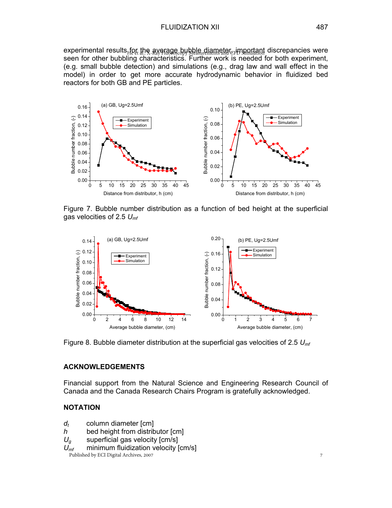experimental results for the average bubble diameter, important discrepancies were seen for other bubbling characteristics. Further work is needed for both experiment, (e.g. small bubble detection) and simulations (e.g., drag law and wall effect in the model) in order to get more accurate hydrodynamic behavior in fluidized bed reactors for both GB and PE particles. He et al.: X-Ray Fluoroscopy Measurements and CFD Simulation



Figure 7. Bubble number distribution as a function of bed height at the superficial gas velocities of 2.5 *Umf*



Figure 8. Bubble diameter distribution at the superficial gas velocities of 2.5 *Umf*

#### **ACKNOWLEDGEMENTS**

Financial support from the Natural Science and Engineering Research Council of Canada and the Canada Research Chairs Program is gratefully acknowledged.

#### **NOTATION**

- *d<sub>t</sub>* column diameter [cm]
- *h* bed height from distributor [cm]
- *Ug* superficial gas velocity [cm/s]
- $U_{\textit{mf}}$  minimum fluidization velocity [cm/s]<br>Published by ECI Digital Archives, 2007

Published by ECI Digital Archives, 2007